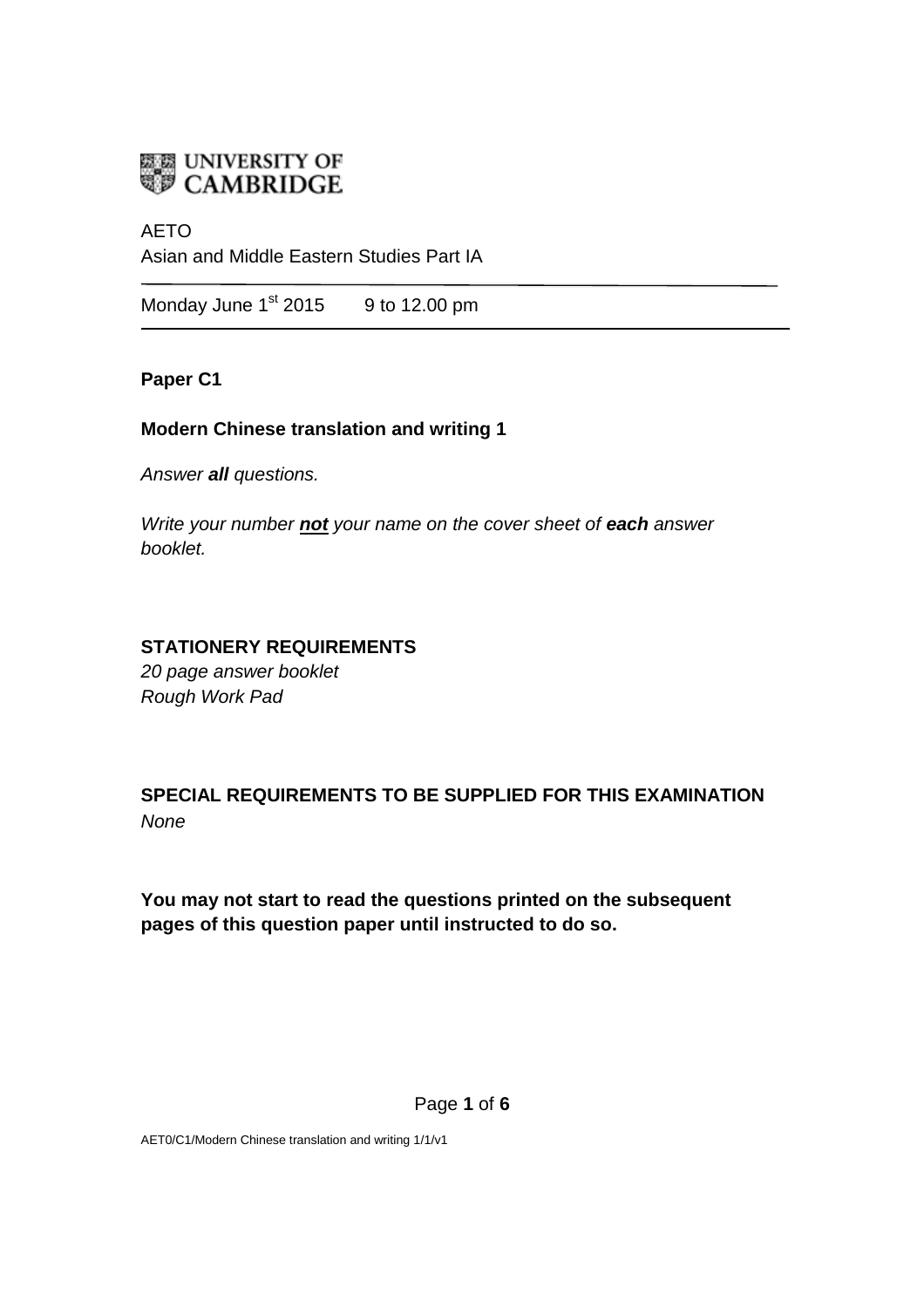

# AETO

Asian and Middle Eastern Studies Part IA

Monday June 1<sup>st</sup> 2015 9 to 12.00 pm

# **Paper C1**

# **Modern Chinese translation and writing 1**

*Answer all questions.*

*Write your number not your name on the cover sheet of each answer booklet.* 

# **STATIONERY REQUIREMENTS**

*20 page answer booklet Rough Work Pad*

**SPECIAL REQUIREMENTS TO BE SUPPLIED FOR THIS EXAMINATION** *None*

**You may not start to read the questions printed on the subsequent pages of this question paper until instructed to do so.**

AET0/C1/Modern Chinese translation and writing 1/1/v1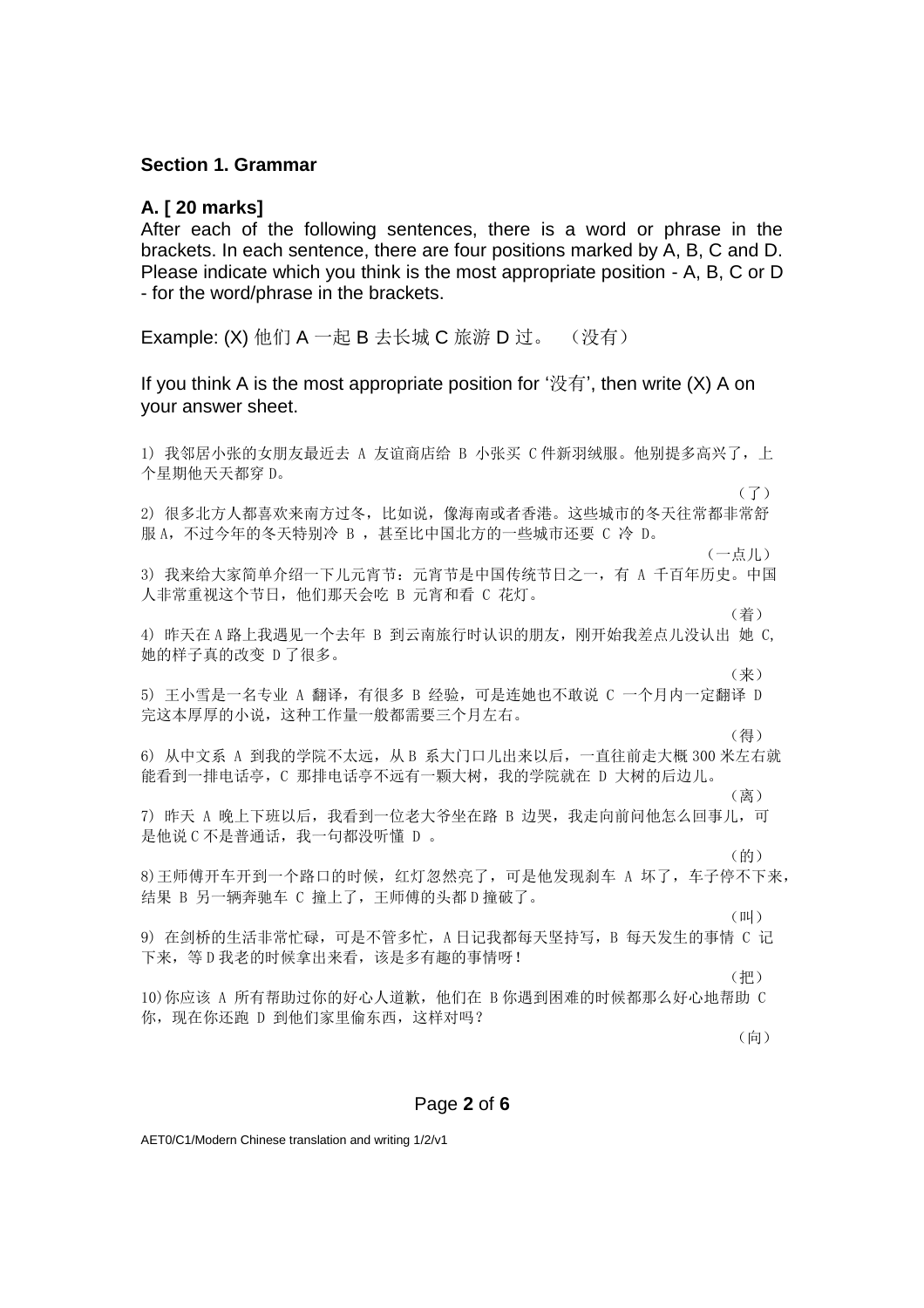### **Section 1. Grammar**

### **A. [ 20 marks]**

After each of the following sentences, there is a word or phrase in the brackets. In each sentence, there are four positions marked by A, B, C and D. Please indicate which you think is the most appropriate position - A, B, C or D - for the word/phrase in the brackets.

**Example: (X)** 他们  $A$  一起  $B \pm K$ 城  $C$  旅游  $D$  过。 (没有)

If you think A is the most appropriate position for ' $\mathcal{R}$ <sup>'</sup>, then write (X) A on your answer sheet.

1) 我邻居小张的女朋友最近去 A 友谊商店给 B 小张买 C 件新羽绒服。他别提多高兴了,上 个星期他天天都穿 D。  $(7)$ 2) 很多北方人都喜欢来南方过冬,比如说,像海南或者香港。这些城市的冬天往常都非常舒 服 A, 不过今年的冬天特别冷 B , 甚至比中国北方的一些城市还要 C 冷 D。 (一点儿) 3) 我来给大家简单介绍一下儿元宵节: 元宵节是中国传统节日之一, 有 A 千百年历史。中国 人非常重视这个节日,他们那天会吃 B 元宵和看 C 花灯。 くちゃく しょうしょう しょうしょう しゅうしょく こうしょう (着) しょうしょう 4) 昨天在 A 路上我遇见一个去年 B 到云南旅行时认识的朋友,刚开始我差点儿没认出 她 C, 她的样子真的改变 D 了很多。 **(来) しょうしょう しょうしょう しょうしょう (来)** 5) 王小雪是一名专业 A 翻译,有很多 B 经验,可是连她也不敢说 C 一个月内一定翻译 D 完这本厚厚的小说,这种工作量一般都需要三个月左右。 **(得) こうしょう こうしょう こうしょう こうしょう (得)** しょうしょう 6) 从中文系 A 到我的学院不太远,从 B 系大门口儿出来以后,一直往前走大概 300 米左右就 能看到一排电话亭,C 那排电话亭不远有一颗大树,我的学院就在 D 大树的后边儿。 **( 离 ) インス にっぽん こうしょう こうしょう こうしょう ( 离 )** 7) 昨天 A 晚上下班以后,我看到一位老大爷坐在路 B 边哭,我走向前问他怎么回事儿,可 是他说 C 不是普通话, 我一句都没听懂 D 。 **(的) のことには、このことには、このことには、このことには、このことには、** 8)王师傅开车开到一个路口的时候,红灯忽然亮了,可是他发现刹车 A 坏了,车子停不下来, 结果 B 另一辆奔驰车 C 撞上了,王师傅的头都 D 撞破了。 **(叫)** (叫) 9) 在剑桥的生活非常忙碌,可是不管多忙,A 日记我都每天坚持写,B 每天发生的事情 C 记 下来,等 D 我老的时候拿出来看,该是多有趣的事情呀! (把) 10)你应该 A 所有帮助过你的好心人道歉,他们在 B 你遇到困难的时候都那么好心地帮助 C 你,现在你还跑 D 到他们家里偷东西,这样对吗? (向)

#### Page **2** of **6**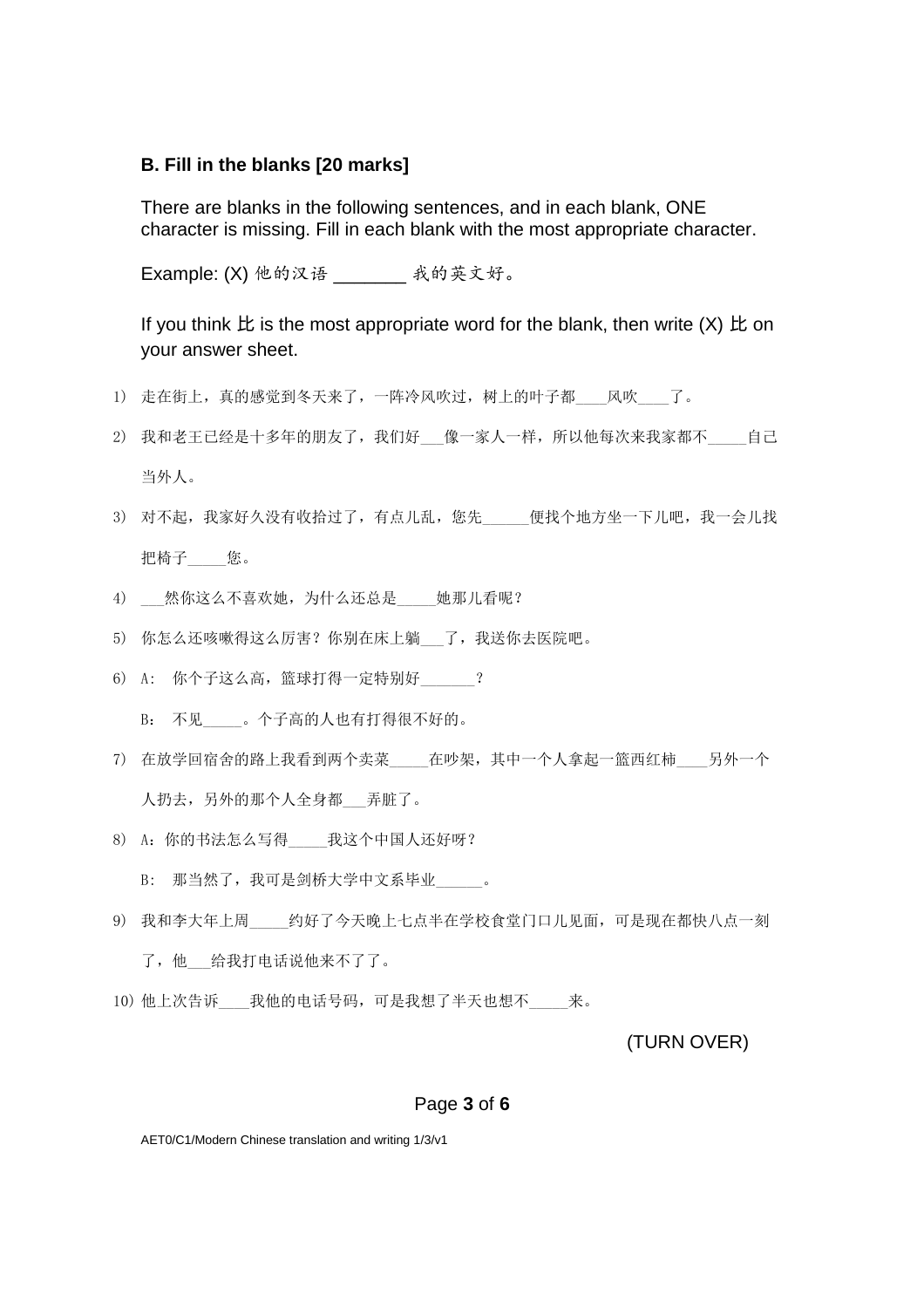#### **B. Fill in the blanks [20 marks]**

There are blanks in the following sentences, and in each blank, ONE character is missing. Fill in each blank with the most appropriate character.

Example: (X) 他的汉语 \_\_\_\_\_\_\_ 我的英文好。

If you think  $E$  is the most appropriate word for the blank, then write  $(X)$   $E$  on your answer sheet.

- 1) 走在街上,真的感觉到冬天来了,一阵冷风吹过,树上的叶子都 风吹 了。
- 2) 我和老王已经是十多年的朋友了,我们好 像一家人一样,所以他每次来我家都不 自己 当外人。
- 3) 对不起,我家好久没有收拾过了,有点儿乱,您先\_\_\_\_\_便找个地方坐一下儿吧,我一会儿找 把椅子\_\_\_\_\_您。
- 4) \_\_\_ 然你这么不喜欢她, 为什么还总是\_\_\_\_\_她那儿看呢?
- 5) 你怎么还咳嗽得这么厉害?你别在床上躺 了,我送你去医院吧。
- 6) A: 你个子这么高,篮球打得一定特别好\_\_\_\_\_\_\_?
	- B: 不见\_\_\_\_\_。个子高的人也有打得很不好的。
- 7) 在放学回宿舍的路上我看到两个卖菜\_\_\_\_\_\_在吵架,其中一个人拿起一篮西红柿\_\_\_\_另外一个 人扔去,另外的那个人全身都\_\_\_弄脏了。
- 8) A:你的书法怎么写得\_\_\_\_\_我这个中国人还好呀? B: 那当然了, 我可是剑桥大学中文系毕业\_\_\_\_\_\_。
- 9) 我和李大年上周\_\_\_\_约好了今天晚上七点半在学校食堂门口儿见面,可是现在都快八点一刻 了,他\_\_\_给我打电话说他来不了了。
- 10) 他上次告诉\_\_\_\_我他的电话号码,可是我想了半天也想不\_\_\_\_\_来。

(TURN OVER)

#### Page **3** of **6**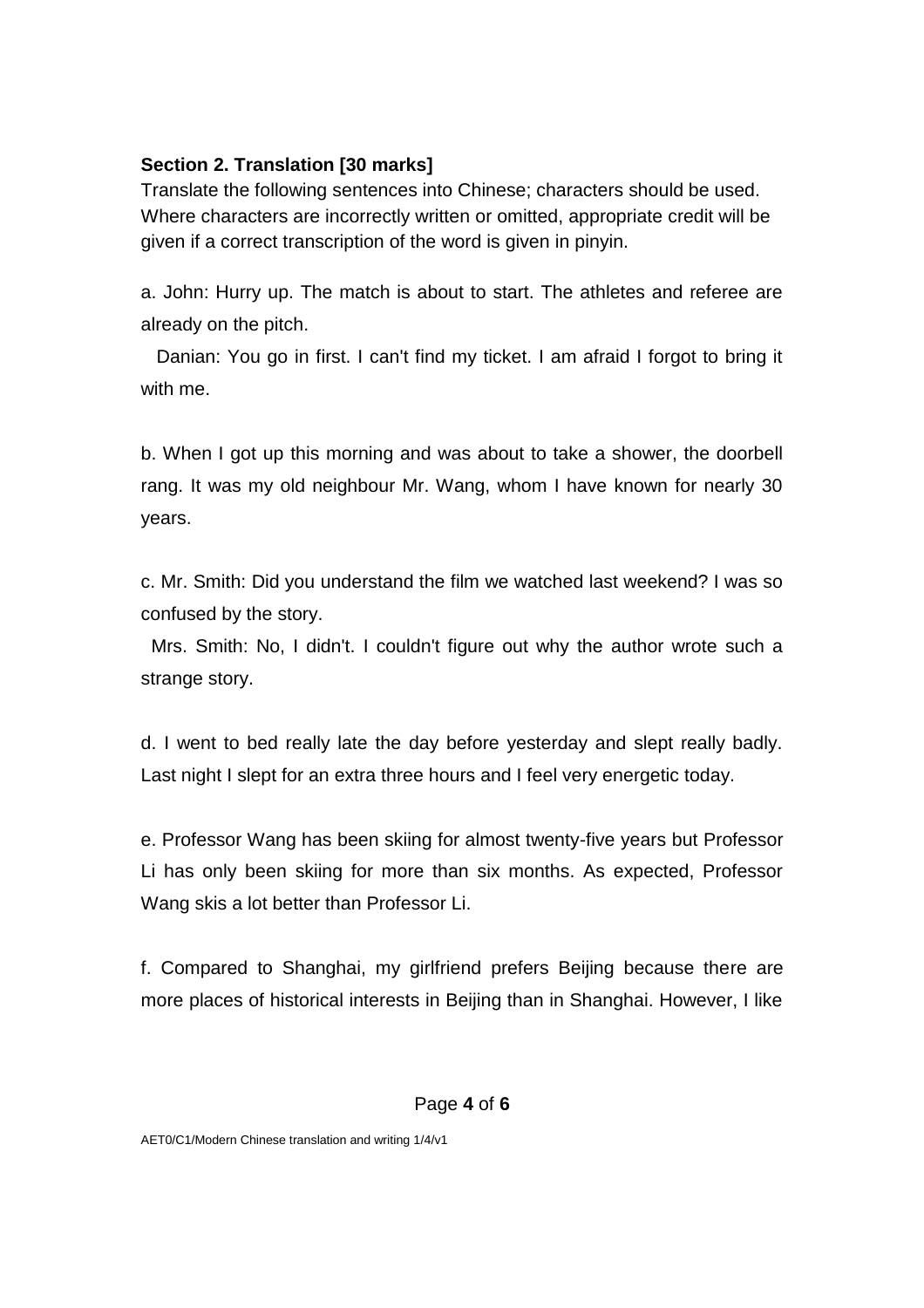# **Section 2. Translation [30 marks]**

Translate the following sentences into Chinese; characters should be used. Where characters are incorrectly written or omitted, appropriate credit will be given if a correct transcription of the word is given in pinyin.

a. John: Hurry up. The match is about to start. The athletes and referee are already on the pitch.

 Danian: You go in first. I can't find my ticket. I am afraid I forgot to bring it with me.

b. When I got up this morning and was about to take a shower, the doorbell rang. It was my old neighbour Mr. Wang, whom I have known for nearly 30 years.

c. Mr. Smith: Did you understand the film we watched last weekend? I was so confused by the story.

 Mrs. Smith: No, I didn't. I couldn't figure out why the author wrote such a strange story.

d. I went to bed really late the day before yesterday and slept really badly. Last night I slept for an extra three hours and I feel very energetic today.

e. Professor Wang has been skiing for almost twenty-five years but Professor Li has only been skiing for more than six months. As expected, Professor Wang skis a lot better than Professor Li.

f. Compared to Shanghai, my girlfriend prefers Beijing because there are more places of historical interests in Beijing than in Shanghai. However, I like

# Page **4** of **6**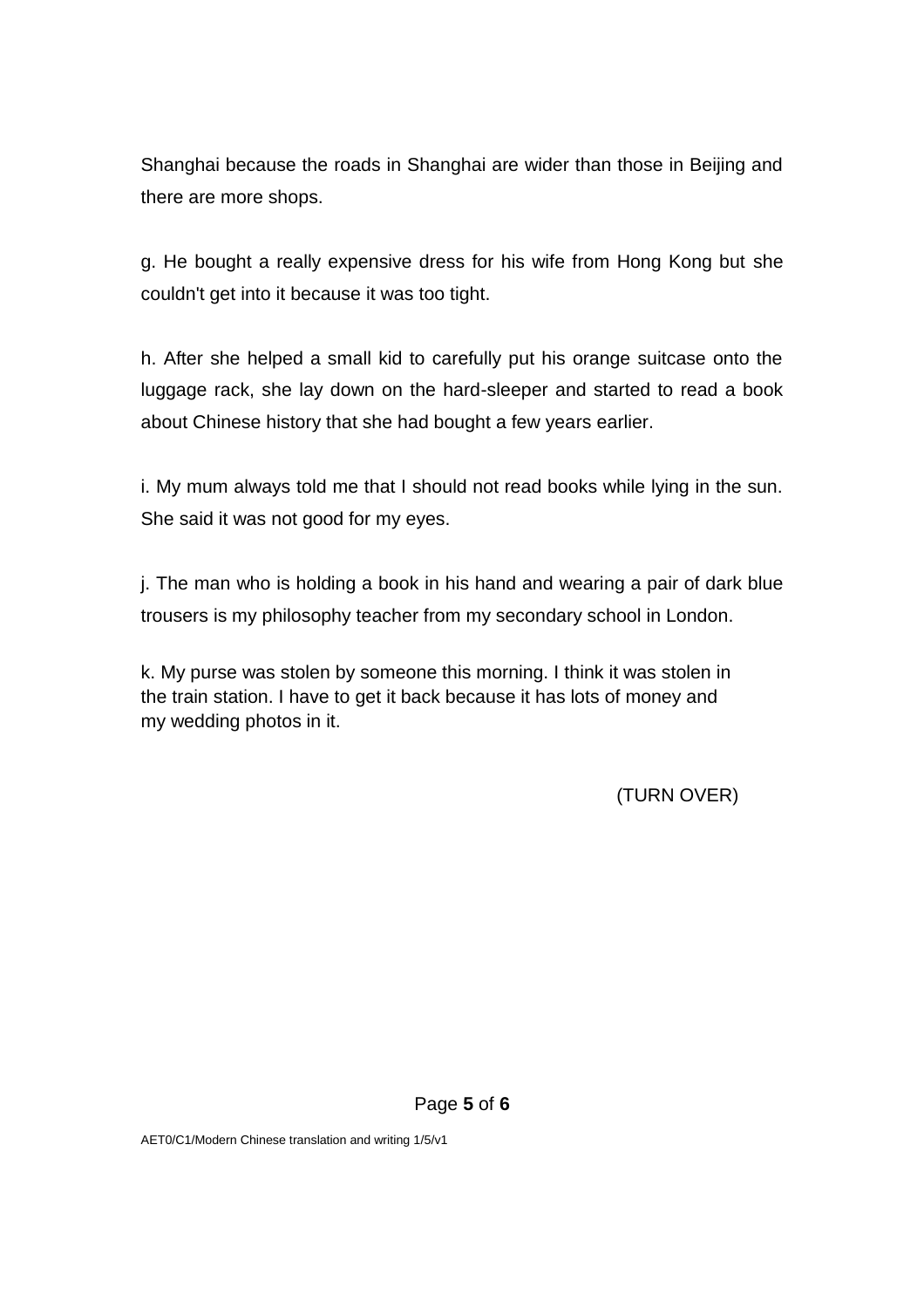Shanghai because the roads in Shanghai are wider than those in Beijing and there are more shops.

g. He bought a really expensive dress for his wife from Hong Kong but she couldn't get into it because it was too tight.

h. After she helped a small kid to carefully put his orange suitcase onto the luggage rack, she lay down on the hard-sleeper and started to read a book about Chinese history that she had bought a few years earlier.

i. My mum always told me that I should not read books while lying in the sun. She said it was not good for my eyes.

j. The man who is holding a book in his hand and wearing a pair of dark blue trousers is my philosophy teacher from my secondary school in London.

k. My purse was stolen by someone this morning. I think it was stolen in the train station. I have to get it back because it has lots of money and my wedding photos in it.

(TURN OVER)